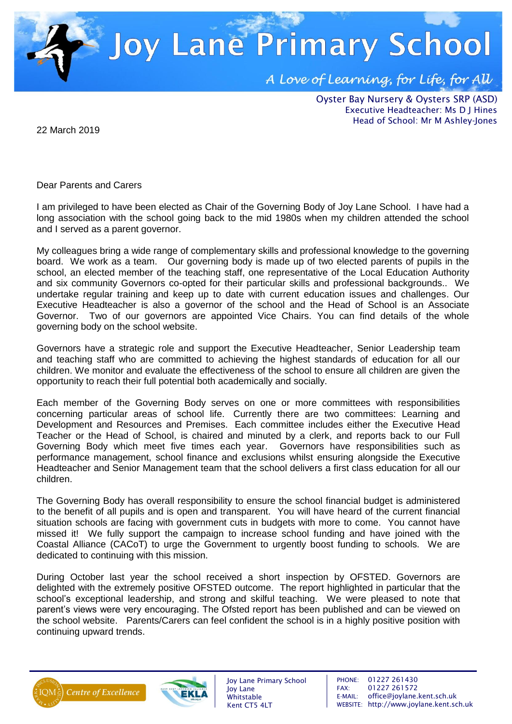

Oyster Bay Nursery & Oysters SRP (ASD) Executive Headteacher: Ms D J Hines Head of School: Mr M Ashley-Jones

22 March 2019

Dear Parents and Carers

I am privileged to have been elected as Chair of the Governing Body of Joy Lane School. I have had a long association with the school going back to the mid 1980s when my children attended the school and I served as a parent governor.

My colleagues bring a wide range of complementary skills and professional knowledge to the governing board. We work as a team. Our governing body is made up of two elected parents of pupils in the school, an elected member of the teaching staff, one representative of the Local Education Authority and six community Governors co-opted for their particular skills and professional backgrounds.. We undertake regular training and keep up to date with current education issues and challenges. Our Executive Headteacher is also a governor of the school and the Head of School is an Associate Governor. Two of our governors are appointed Vice Chairs. You can find details of the whole governing body on the school website.

Governors have a strategic role and support the Executive Headteacher, Senior Leadership team and teaching staff who are committed to achieving the highest standards of education for all our children. We monitor and evaluate the effectiveness of the school to ensure all children are given the opportunity to reach their full potential both academically and socially.

Each member of the Governing Body serves on one or more committees with responsibilities concerning particular areas of school life. Currently there are two committees: Learning and Development and Resources and Premises. Each committee includes either the Executive Head Teacher or the Head of School, is chaired and minuted by a clerk, and reports back to our Full Governing Body which meet five times each year. Governors have responsibilities such as performance management, school finance and exclusions whilst ensuring alongside the Executive Headteacher and Senior Management team that the school delivers a first class education for all our children.

The Governing Body has overall responsibility to ensure the school financial budget is administered to the benefit of all pupils and is open and transparent. You will have heard of the current financial situation schools are facing with government cuts in budgets with more to come. You cannot have missed it! We fully support the campaign to increase school funding and have joined with the Coastal Alliance (CACoT) to urge the Government to urgently boost funding to schools. We are dedicated to continuing with this mission.

During October last year the school received a short inspection by OFSTED. Governors are delighted with the extremely positive OFSTED outcome. The report highlighted in particular that the school's exceptional leadership, and strong and skilful teaching. We were pleased to note that parent's views were very encouraging. The Ofsted report has been published and can be viewed on the school website. Parents/Carers can feel confident the school is in a highly positive position with continuing upward trends.